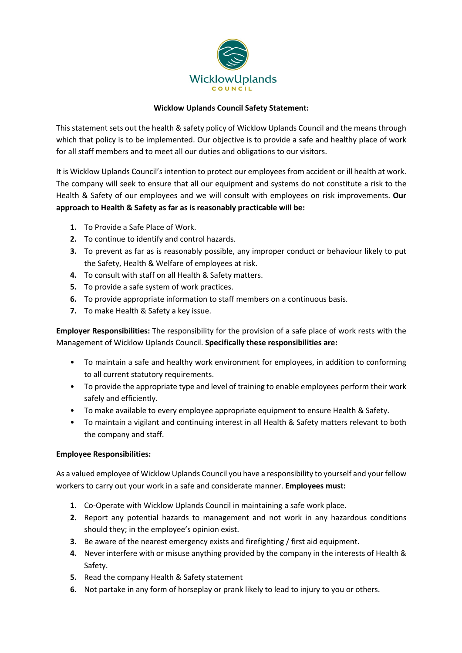

# **Wicklow Uplands Council Safety Statement:**

This statement sets out the health & safety policy of Wicklow Uplands Council and the means through which that policy is to be implemented. Our objective is to provide a safe and healthy place of work for all staff members and to meet all our duties and obligations to our visitors.

It is Wicklow Uplands Council's intention to protect our employees from accident or ill health at work. The company will seek to ensure that all our equipment and systems do not constitute a risk to the Health & Safety of our employees and we will consult with employees on risk improvements. **Our approach to Health & Safety as far as is reasonably practicable will be:**

- **1.** To Provide a Safe Place of Work.
- **2.** To continue to identify and control hazards.
- **3.** To prevent as far as is reasonably possible, any improper conduct or behaviour likely to put the Safety, Health & Welfare of employees at risk.
- **4.** To consult with staff on all Health & Safety matters.
- **5.** To provide a safe system of work practices.
- **6.** To provide appropriate information to staff members on a continuous basis.
- **7.** To make Health & Safety a key issue.

**Employer Responsibilities:** The responsibility for the provision of a safe place of work rests with the Management of Wicklow Uplands Council. **Specifically these responsibilities are:**

- To maintain a safe and healthy work environment for employees, in addition to conforming to all current statutory requirements.
- To provide the appropriate type and level of training to enable employees perform their work safely and efficiently.
- To make available to every employee appropriate equipment to ensure Health & Safety.
- To maintain a vigilant and continuing interest in all Health & Safety matters relevant to both the company and staff.

# **Employee Responsibilities:**

As a valued employee of Wicklow Uplands Council you have a responsibility to yourself and your fellow workers to carry out your work in a safe and considerate manner. **Employees must:**

- **1.** Co-Operate with Wicklow Uplands Council in maintaining a safe work place.
- **2.** Report any potential hazards to management and not work in any hazardous conditions should they; in the employee's opinion exist.
- **3.** Be aware of the nearest emergency exists and firefighting / first aid equipment.
- **4.** Never interfere with or misuse anything provided by the company in the interests of Health & Safety.
- **5.** Read the company Health & Safety statement
- **6.** Not partake in any form of horseplay or prank likely to lead to injury to you or others.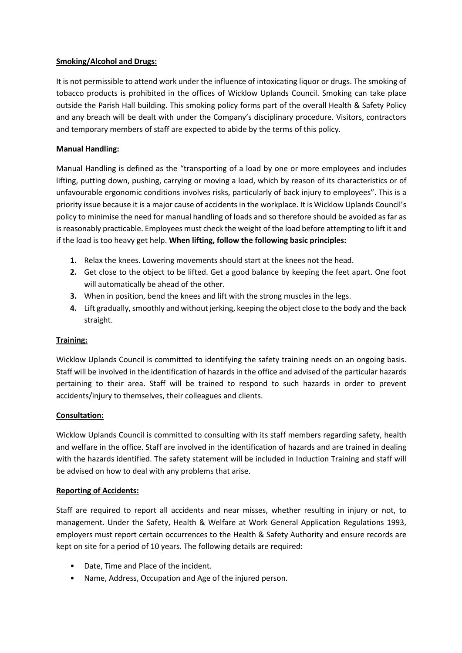# **Smoking/Alcohol and Drugs:**

It is not permissible to attend work under the influence of intoxicating liquor or drugs. The smoking of tobacco products is prohibited in the offices of Wicklow Uplands Council. Smoking can take place outside the Parish Hall building. This smoking policy forms part of the overall Health & Safety Policy and any breach will be dealt with under the Company's disciplinary procedure. Visitors, contractors and temporary members of staff are expected to abide by the terms of this policy.

## **Manual Handling:**

Manual Handling is defined as the "transporting of a load by one or more employees and includes lifting, putting down, pushing, carrying or moving a load, which by reason of its characteristics or of unfavourable ergonomic conditions involves risks, particularly of back injury to employees". This is a priority issue because it is a major cause of accidents in the workplace. It is Wicklow Uplands Council's policy to minimise the need for manual handling of loads and so therefore should be avoided as far as is reasonably practicable. Employees must check the weight of the load before attempting to lift it and if the load is too heavy get help. **When lifting, follow the following basic principles:**

- **1.** Relax the knees. Lowering movements should start at the knees not the head.
- **2.** Get close to the object to be lifted. Get a good balance by keeping the feet apart. One foot will automatically be ahead of the other.
- **3.** When in position, bend the knees and lift with the strong muscles in the legs.
- **4.** Lift gradually, smoothly and without jerking, keeping the object close to the body and the back straight.

# **Training:**

Wicklow Uplands Council is committed to identifying the safety training needs on an ongoing basis. Staff will be involved in the identification of hazards in the office and advised of the particular hazards pertaining to their area. Staff will be trained to respond to such hazards in order to prevent accidents/injury to themselves, their colleagues and clients.

# **Consultation:**

Wicklow Uplands Council is committed to consulting with its staff members regarding safety, health and welfare in the office. Staff are involved in the identification of hazards and are trained in dealing with the hazards identified. The safety statement will be included in Induction Training and staff will be advised on how to deal with any problems that arise.

#### **Reporting of Accidents:**

Staff are required to report all accidents and near misses, whether resulting in injury or not, to management. Under the Safety, Health & Welfare at Work General Application Regulations 1993, employers must report certain occurrences to the Health & Safety Authority and ensure records are kept on site for a period of 10 years. The following details are required:

- Date, Time and Place of the incident.
- Name, Address, Occupation and Age of the injured person.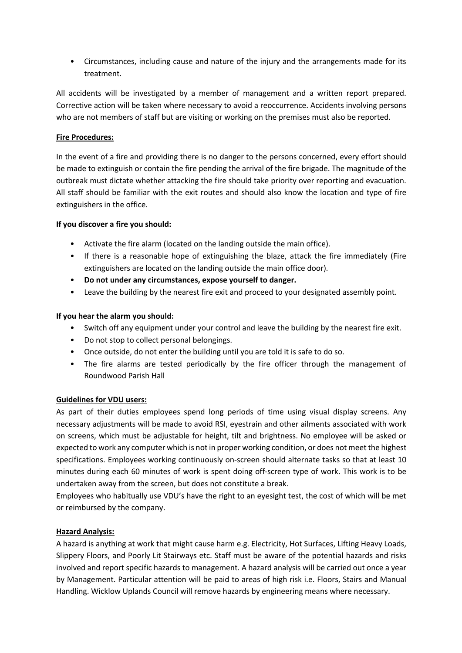• Circumstances, including cause and nature of the injury and the arrangements made for its treatment.

All accidents will be investigated by a member of management and a written report prepared. Corrective action will be taken where necessary to avoid a reoccurrence. Accidents involving persons who are not members of staff but are visiting or working on the premises must also be reported.

## **Fire Procedures:**

In the event of a fire and providing there is no danger to the persons concerned, every effort should be made to extinguish or contain the fire pending the arrival of the fire brigade. The magnitude of the outbreak must dictate whether attacking the fire should take priority over reporting and evacuation. All staff should be familiar with the exit routes and should also know the location and type of fire extinguishers in the office.

#### **If you discover a fire you should:**

- Activate the fire alarm (located on the landing outside the main office).
- If there is a reasonable hope of extinguishing the blaze, attack the fire immediately (Fire extinguishers are located on the landing outside the main office door).
- **Do not under any circumstances, expose yourself to danger.**
- Leave the building by the nearest fire exit and proceed to your designated assembly point.

#### **If you hear the alarm you should:**

- Switch off any equipment under your control and leave the building by the nearest fire exit.
- Do not stop to collect personal belongings.
- Once outside, do not enter the building until you are told it is safe to do so.
- The fire alarms are tested periodically by the fire officer through the management of Roundwood Parish Hall

# **Guidelines for VDU users:**

As part of their duties employees spend long periods of time using visual display screens. Any necessary adjustments will be made to avoid RSI, eyestrain and other ailments associated with work on screens, which must be adjustable for height, tilt and brightness. No employee will be asked or expected to work any computer which is not in proper working condition, or does not meet the highest specifications. Employees working continuously on-screen should alternate tasks so that at least 10 minutes during each 60 minutes of work is spent doing off-screen type of work. This work is to be undertaken away from the screen, but does not constitute a break.

Employees who habitually use VDU's have the right to an eyesight test, the cost of which will be met or reimbursed by the company.

# **Hazard Analysis:**

A hazard is anything at work that might cause harm e.g. Electricity, Hot Surfaces, Lifting Heavy Loads, Slippery Floors, and Poorly Lit Stairways etc. Staff must be aware of the potential hazards and risks involved and report specific hazards to management. A hazard analysis will be carried out once a year by Management. Particular attention will be paid to areas of high risk i.e. Floors, Stairs and Manual Handling. Wicklow Uplands Council will remove hazards by engineering means where necessary.